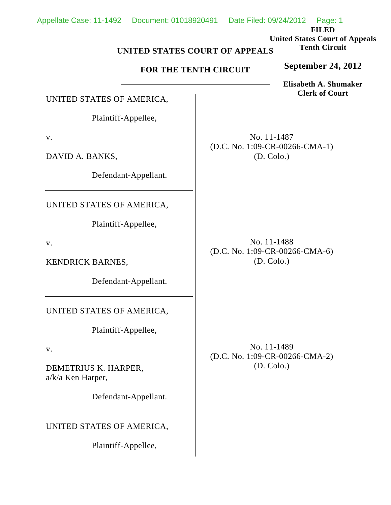**FILED United States Court of Appeals Tenth Circuit**

## **UNITED STATES COURT OF APPEALS**

## **FOR THE TENTH CIRCUIT**

**Elisabeth A. Shumaker Clerk of Court**

**September 24, 2012**

UNITED STATES OF AMERICA,

Plaintiff-Appellee,

v.

DAVID A. BANKS,

Defendant-Appellant.

UNITED STATES OF AMERICA,

Plaintiff-Appellee,

v.

KENDRICK BARNES,

Defendant-Appellant.

UNITED STATES OF AMERICA,

Plaintiff-Appellee,

v.

DEMETRIUS K. HARPER, a/k/a Ken Harper,

Defendant-Appellant.

UNITED STATES OF AMERICA,

Plaintiff-Appellee,

No. 11-1487 (D.C. No. 1:09-CR-00266-CMA-1) (D. Colo.)

No. 11-1488 (D.C. No. 1:09-CR-00266-CMA-6) (D. Colo.)

No. 11-1489 (D.C. No. 1:09-CR-00266-CMA-2) (D. Colo.)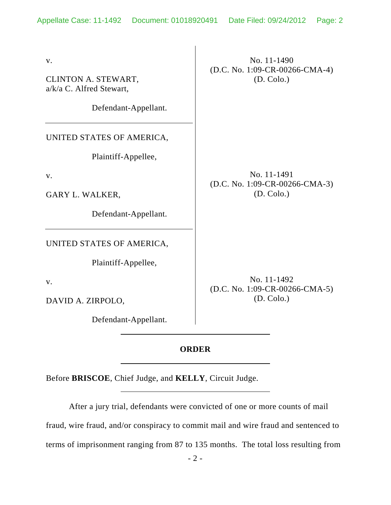v.

CLINTON A. STEWART, a/k/a C. Alfred Stewart,

Defendant-Appellant.

UNITED STATES OF AMERICA,

Plaintiff-Appellee,

v.

GARY L. WALKER,

Defendant-Appellant.

UNITED STATES OF AMERICA,

Plaintiff-Appellee,

v.

DAVID A. ZIRPOLO,

Defendant-Appellant.

No. 11-1490 (D.C. No. 1:09-CR-00266-CMA-4) (D. Colo.)

No. 11-1491 (D.C. No. 1:09-CR-00266-CMA-3) (D. Colo.)

No. 11-1492 (D.C. No. 1:09-CR-00266-CMA-5) (D. Colo.)

## **ORDER**

Before **BRISCOE**, Chief Judge, and **KELLY**, Circuit Judge.

After a jury trial, defendants were convicted of one or more counts of mail fraud, wire fraud, and/or conspiracy to commit mail and wire fraud and sentenced to terms of imprisonment ranging from 87 to 135 months. The total loss resulting from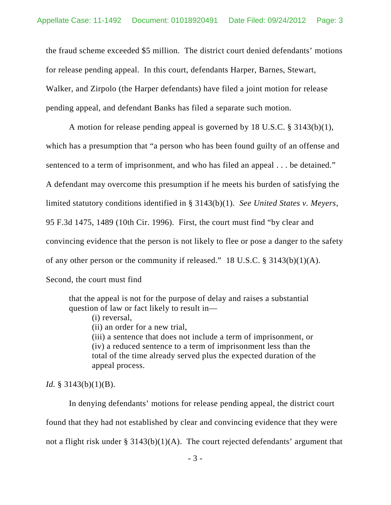the fraud scheme exceeded \$5 million. The district court denied defendants' motions for release pending appeal. In this court, defendants Harper, Barnes, Stewart, Walker, and Zirpolo (the Harper defendants) have filed a joint motion for release pending appeal, and defendant Banks has filed a separate such motion.

A motion for release pending appeal is governed by 18 U.S.C. § 3143(b)(1), which has a presumption that "a person who has been found guilty of an offense and sentenced to a term of imprisonment, and who has filed an appeal . . . be detained." A defendant may overcome this presumption if he meets his burden of satisfying the limited statutory conditions identified in § 3143(b)(1). *See United States v. Meyers*, 95 F.3d 1475, 1489 (10th Cir. 1996). First, the court must find "by clear and convincing evidence that the person is not likely to flee or pose a danger to the safety of any other person or the community if released." 18 U.S.C. § 3143(b)(1)(A). Second, the court must find

that the appeal is not for the purpose of delay and raises a substantial question of law or fact likely to result in—

(i) reversal,

(ii) an order for a new trial,

(iii) a sentence that does not include a term of imprisonment, or (iv) a reduced sentence to a term of imprisonment less than the total of the time already served plus the expected duration of the appeal process.

## *Id.* § 3143(b)(1)(B).

In denying defendants' motions for release pending appeal, the district court found that they had not established by clear and convincing evidence that they were not a flight risk under § 3143(b)(1)(A). The court rejected defendants' argument that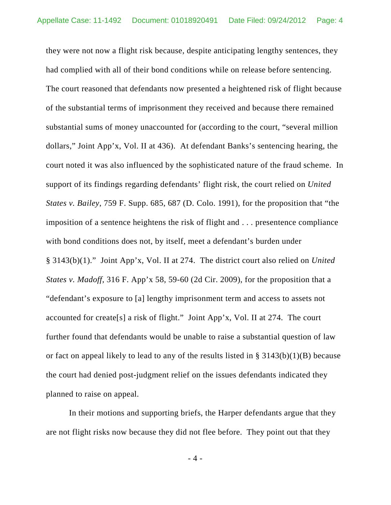they were not now a flight risk because, despite anticipating lengthy sentences, they had complied with all of their bond conditions while on release before sentencing. The court reasoned that defendants now presented a heightened risk of flight because of the substantial terms of imprisonment they received and because there remained substantial sums of money unaccounted for (according to the court, "several million dollars," Joint App'x, Vol. II at 436). At defendant Banks's sentencing hearing, the court noted it was also influenced by the sophisticated nature of the fraud scheme. In support of its findings regarding defendants' flight risk, the court relied on *United States v. Bailey*, 759 F. Supp. 685, 687 (D. Colo. 1991), for the proposition that "the imposition of a sentence heightens the risk of flight and . . . presentence compliance with bond conditions does not, by itself, meet a defendant's burden under § 3143(b)(1)." Joint App'x, Vol. II at 274. The district court also relied on *United States v. Madoff*, 316 F. App'x 58, 59-60 (2d Cir. 2009), for the proposition that a "defendant's exposure to [a] lengthy imprisonment term and access to assets not accounted for create[s] a risk of flight." Joint App'x, Vol. II at 274. The court further found that defendants would be unable to raise a substantial question of law or fact on appeal likely to lead to any of the results listed in  $\S$  3143(b)(1)(B) because the court had denied post-judgment relief on the issues defendants indicated they planned to raise on appeal.

In their motions and supporting briefs, the Harper defendants argue that they are not flight risks now because they did not flee before. They point out that they

- 4 -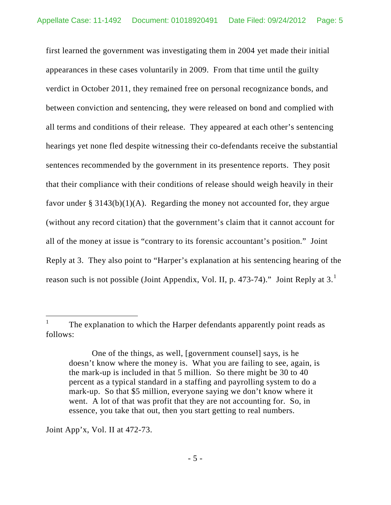first learned the government was investigating them in 2004 yet made their initial appearances in these cases voluntarily in 2009. From that time until the guilty verdict in October 2011, they remained free on personal recognizance bonds, and between conviction and sentencing, they were released on bond and complied with all terms and conditions of their release. They appeared at each other's sentencing hearings yet none fled despite witnessing their co-defendants receive the substantial sentences recommended by the government in its presentence reports. They posit that their compliance with their conditions of release should weigh heavily in their favor under  $\S 3143(b)(1)(A)$ . Regarding the money not accounted for, they argue (without any record citation) that the government's claim that it cannot account for all of the money at issue is "contrary to its forensic accountant's position." Joint Reply at 3. They also point to "Harper's explanation at his sentencing hearing of the reason such is not possible (Joint Appendix, Vol. II, p. 473-74)." Joint Reply at 3. $^1$  $^1$ 

Joint App'x, Vol. II at 472-73.

<span id="page-4-0"></span><sup>&</sup>lt;sup>1</sup> The explanation to which the Harper defendants apparently point reads as follows:

One of the things, as well, [government counsel] says, is he doesn't know where the money is. What you are failing to see, again, is the mark-up is included in that 5 million. So there might be 30 to 40 percent as a typical standard in a staffing and payrolling system to do a mark-up. So that \$5 million, everyone saying we don't know where it went. A lot of that was profit that they are not accounting for. So, in essence, you take that out, then you start getting to real numbers.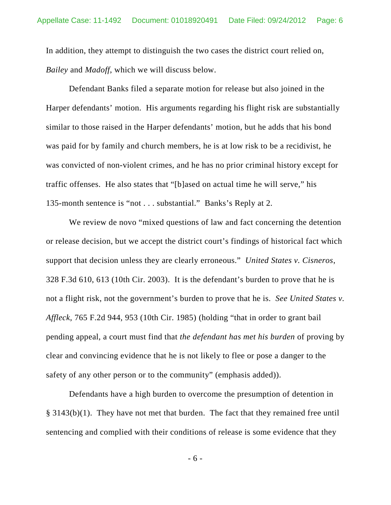In addition, they attempt to distinguish the two cases the district court relied on, *Bailey* and *Madoff*, which we will discuss below.

Defendant Banks filed a separate motion for release but also joined in the Harper defendants' motion. His arguments regarding his flight risk are substantially similar to those raised in the Harper defendants' motion, but he adds that his bond was paid for by family and church members, he is at low risk to be a recidivist, he was convicted of non-violent crimes, and he has no prior criminal history except for traffic offenses. He also states that "[b]ased on actual time he will serve," his 135-month sentence is "not . . . substantial." Banks's Reply at 2.

We review de novo "mixed questions of law and fact concerning the detention or release decision, but we accept the district court's findings of historical fact which support that decision unless they are clearly erroneous." *United States v. Cisneros*, 328 F.3d 610, 613 (10th Cir. 2003). It is the defendant's burden to prove that he is not a flight risk, not the government's burden to prove that he is. *See United States v. Affleck*, 765 F.2d 944, 953 (10th Cir. 1985) (holding "that in order to grant bail pending appeal, a court must find that *the defendant has met his burden* of proving by clear and convincing evidence that he is not likely to flee or pose a danger to the safety of any other person or to the community" (emphasis added)).

Defendants have a high burden to overcome the presumption of detention in § 3143(b)(1). They have not met that burden. The fact that they remained free until sentencing and complied with their conditions of release is some evidence that they

- 6 -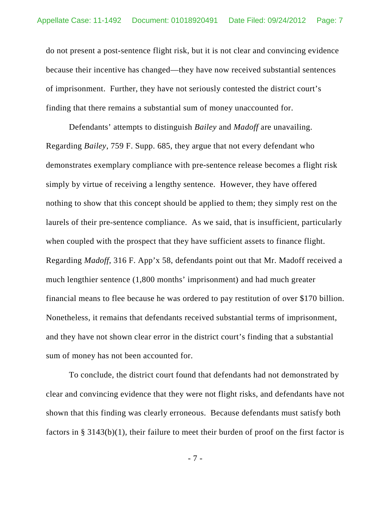do not present a post-sentence flight risk, but it is not clear and convincing evidence because their incentive has changed—they have now received substantial sentences of imprisonment. Further, they have not seriously contested the district court's finding that there remains a substantial sum of money unaccounted for.

Defendants' attempts to distinguish *Bailey* and *Madoff* are unavailing. Regarding *Bailey*, 759 F. Supp. 685, they argue that not every defendant who demonstrates exemplary compliance with pre-sentence release becomes a flight risk simply by virtue of receiving a lengthy sentence. However, they have offered nothing to show that this concept should be applied to them; they simply rest on the laurels of their pre-sentence compliance. As we said, that is insufficient, particularly when coupled with the prospect that they have sufficient assets to finance flight. Regarding *Madoff*, 316 F. App'x 58, defendants point out that Mr. Madoff received a much lengthier sentence (1,800 months' imprisonment) and had much greater financial means to flee because he was ordered to pay restitution of over \$170 billion. Nonetheless, it remains that defendants received substantial terms of imprisonment, and they have not shown clear error in the district court's finding that a substantial sum of money has not been accounted for.

To conclude, the district court found that defendants had not demonstrated by clear and convincing evidence that they were not flight risks, and defendants have not shown that this finding was clearly erroneous. Because defendants must satisfy both factors in § 3143(b)(1), their failure to meet their burden of proof on the first factor is

- 7 -